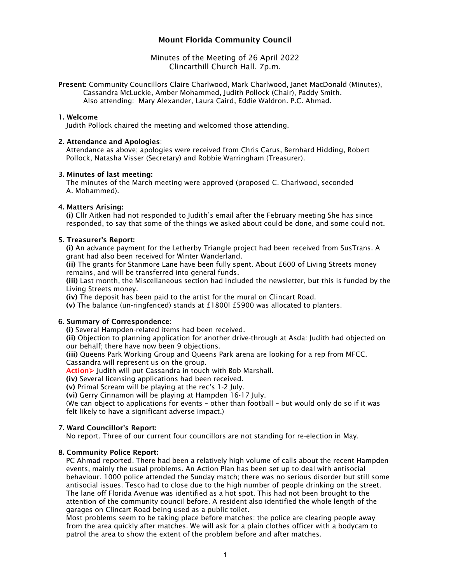# Mount Florida Community Council

## Minutes of the Meeting of 26 April 2022 Clincarthill Church Hall. 7p.m.

Present: Community Councillors Claire Charlwood, Mark Charlwood, Janet MacDonald (Minutes), Cassandra McLuckie, Amber Mohammed, Judith Pollock (Chair), Paddy Smith. Also attending: Mary Alexander, Laura Caird, Eddie Waldron. P.C. Ahmad.

#### 1. Welcome

Judith Pollock chaired the meeting and welcomed those attending.

#### 2. Attendance and Apologies:

Attendance as above; apologies were received from Chris Carus, Bernhard Hidding, Robert Pollock, Natasha Visser (Secretary) and Robbie Warringham (Treasurer).

#### 3. Minutes of last meeting:

The minutes of the March meeting were approved (proposed C. Charlwood, seconded A. Mohammed).

## 4. Matters Arising:

(i) Cllr Aitken had not responded to Judith's email after the February meeting She has since responded, to say that some of the things we asked about could be done, and some could not.

## 5. Treasurer's Report:

(i) An advance payment for the Letherby Triangle project had been received from SusTrans. A grant had also been received for Winter Wanderland.

(ii) The grants for Stanmore Lane have been fully spent. About £600 of Living Streets money remains, and will be transferred into general funds.

(iii) Last month, the Miscellaneous section had included the newsletter, but this is funded by the Living Streets money.

(iv) The deposit has been paid to the artist for the mural on Clincart Road.

(v) The balance (un-ringfenced) stands at £1800l £5900 was allocated to planters.

## 6. Summary of Correspondence:

(i) Several Hampden-related items had been received.

(ii) Objection to planning application for another drive-through at Asda: Judith had objected on our behalf; there have now been 9 objections.

(iii) Queens Park Working Group and Queens Park arena are looking for a rep from MFCC. Cassandra will represent us on the group.

Action > Judith will put Cassandra in touch with Bob Marshall.

(iv) Several licensing applications had been received.

(v) Primal Scream will be playing at the rec's 1-2 July.

(vi) Gerry Cinnamon will be playing at Hampden 16-17 July.

(We can object to applications for events – other than football – but would only do so if it was felt likely to have a significant adverse impact.)

## 7. Ward Councillor's Report:

No report. Three of our current four councillors are not standing for re-election in May.

## 8. Community Police Report:

PC Ahmad reported. There had been a relatively high volume of calls about the recent Hampden events, mainly the usual problems. An Action Plan has been set up to deal with antisocial behaviour. 1000 police attended the Sunday match; there was no serious disorder but still some antisocial issues. Tesco had to close due to the high number of people drinking on the street. The lane off Florida Avenue was identified as a hot spot. This had not been brought to the attention of the community council before. A resident also identified the whole length of the garages on Clincart Road being used as a public toilet.

Most problems seem to be taking place before matches; the police are clearing people away from the area quickly after matches. We will ask for a plain clothes officer with a bodycam to patrol the area to show the extent of the problem before and after matches.